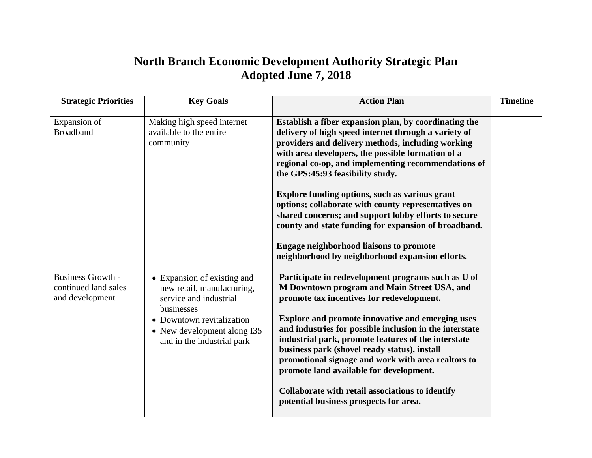| <b>North Branch Economic Development Authority Strategic Plan</b><br><b>Adopted June 7, 2018</b> |                                                                                                                                                                                             |                                                                                                                                                                                                                                                                                                                                                                                                                                                                                                                                                                                                                                                  |                 |  |  |
|--------------------------------------------------------------------------------------------------|---------------------------------------------------------------------------------------------------------------------------------------------------------------------------------------------|--------------------------------------------------------------------------------------------------------------------------------------------------------------------------------------------------------------------------------------------------------------------------------------------------------------------------------------------------------------------------------------------------------------------------------------------------------------------------------------------------------------------------------------------------------------------------------------------------------------------------------------------------|-----------------|--|--|
| <b>Strategic Priorities</b>                                                                      | <b>Key Goals</b>                                                                                                                                                                            | <b>Action Plan</b>                                                                                                                                                                                                                                                                                                                                                                                                                                                                                                                                                                                                                               | <b>Timeline</b> |  |  |
| Expansion of<br><b>Broadband</b>                                                                 | Making high speed internet<br>available to the entire<br>community                                                                                                                          | Establish a fiber expansion plan, by coordinating the<br>delivery of high speed internet through a variety of<br>providers and delivery methods, including working<br>with area developers, the possible formation of a<br>regional co-op, and implementing recommendations of<br>the GPS:45:93 feasibility study.<br>Explore funding options, such as various grant<br>options; collaborate with county representatives on<br>shared concerns; and support lobby efforts to secure<br>county and state funding for expansion of broadband.<br><b>Engage neighborhood liaisons to promote</b><br>neighborhood by neighborhood expansion efforts. |                 |  |  |
| <b>Business Growth -</b><br>continued land sales<br>and development                              | • Expansion of existing and<br>new retail, manufacturing,<br>service and industrial<br>businesses<br>• Downtown revitalization<br>• New development along I35<br>and in the industrial park | Participate in redevelopment programs such as U of<br>M Downtown program and Main Street USA, and<br>promote tax incentives for redevelopment.<br><b>Explore and promote innovative and emerging uses</b><br>and industries for possible inclusion in the interstate<br>industrial park, promote features of the interstate<br>business park (shovel ready status), install<br>promotional signage and work with area realtors to<br>promote land available for development.<br>Collaborate with retail associations to identify<br>potential business prospects for area.                                                                       |                 |  |  |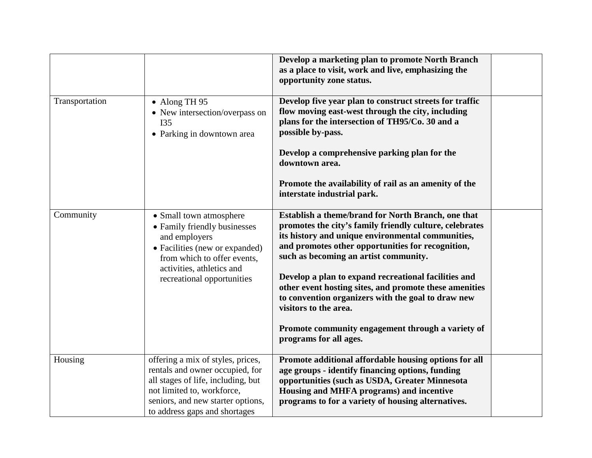|                |                                                                                                                                                                                                                | Develop a marketing plan to promote North Branch<br>as a place to visit, work and live, emphasizing the<br>opportunity zone status.                                                                                                                                                                                                                                                                                                                                                                                                              |  |
|----------------|----------------------------------------------------------------------------------------------------------------------------------------------------------------------------------------------------------------|--------------------------------------------------------------------------------------------------------------------------------------------------------------------------------------------------------------------------------------------------------------------------------------------------------------------------------------------------------------------------------------------------------------------------------------------------------------------------------------------------------------------------------------------------|--|
| Transportation | • Along TH 95<br>• New intersection/overpass on<br><b>I35</b><br>• Parking in downtown area                                                                                                                    | Develop five year plan to construct streets for traffic<br>flow moving east-west through the city, including<br>plans for the intersection of TH95/Co. 30 and a<br>possible by-pass.                                                                                                                                                                                                                                                                                                                                                             |  |
|                |                                                                                                                                                                                                                | Develop a comprehensive parking plan for the<br>downtown area.                                                                                                                                                                                                                                                                                                                                                                                                                                                                                   |  |
|                |                                                                                                                                                                                                                | Promote the availability of rail as an amenity of the<br>interstate industrial park.                                                                                                                                                                                                                                                                                                                                                                                                                                                             |  |
| Community      | • Small town atmosphere<br>• Family friendly businesses<br>and employers<br>• Facilities (new or expanded)<br>from which to offer events,<br>activities, athletics and<br>recreational opportunities           | Establish a theme/brand for North Branch, one that<br>promotes the city's family friendly culture, celebrates<br>its history and unique environmental communities,<br>and promotes other opportunities for recognition,<br>such as becoming an artist community.<br>Develop a plan to expand recreational facilities and<br>other event hosting sites, and promote these amenities<br>to convention organizers with the goal to draw new<br>visitors to the area.<br>Promote community engagement through a variety of<br>programs for all ages. |  |
| Housing        | offering a mix of styles, prices,<br>rentals and owner occupied, for<br>all stages of life, including, but<br>not limited to, workforce,<br>seniors, and new starter options,<br>to address gaps and shortages | Promote additional affordable housing options for all<br>age groups - identify financing options, funding<br>opportunities (such as USDA, Greater Minnesota<br>Housing and MHFA programs) and incentive<br>programs to for a variety of housing alternatives.                                                                                                                                                                                                                                                                                    |  |